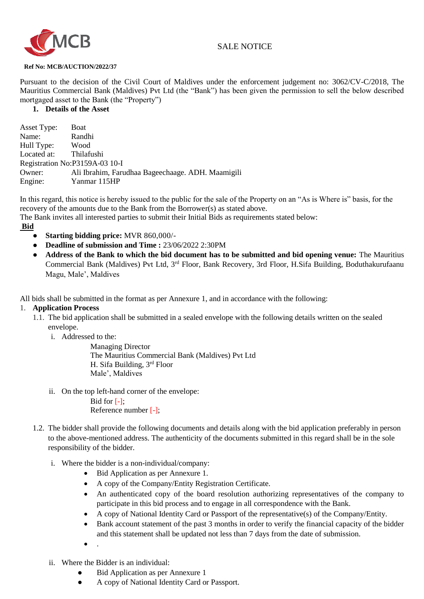

# SALE NOTICE

#### **Ref No: MCB/AUCTION/2022/37**

Pursuant to the decision of the Civil Court of Maldives under the enforcement judgement no: 3062/CV-C/2018, The Mauritius Commercial Bank (Maldives) Pvt Ltd (the "Bank") has been given the permission to sell the below described mortgaged asset to the Bank (the "Property")

## **1. Details of the Asset**

Asset Type: Boat Name: Randhi<br>Hull Type: Wood Hull Type: Wood<br>Located at: Thilafushi Located at: Registration No:P3159A-03 10-I Owner: Ali Ibrahim, Farudhaa Bageechaage. ADH. Maamigili Engine: Yanmar 115HP

In this regard, this notice is hereby issued to the public for the sale of the Property on an "As is Where is" basis, for the recovery of the amounts due to the Bank from the Borrower(s) as stated above. The Bank invites all interested parties to submit their Initial Bids as requirements stated below:

**Bid**

- **Starting bidding price:** MVR 860,000/-
- **Deadline of submission and Time :** 23/06/2022 2:30PM
- **Address of the Bank to which the bid document has to be submitted and bid opening venue:** The Mauritius Commercial Bank (Maldives) Pvt Ltd, 3rd Floor, Bank Recovery, 3rd Floor, H.Sifa Building, Boduthakurufaanu Magu, Male', Maldives

All bids shall be submitted in the format as per Annexure 1, and in accordance with the following:

## 1. **Application Process**

- 1.1. The bid application shall be submitted in a sealed envelope with the following details written on the sealed envelope.
	- i. Addressed to the:

Managing Director The Mauritius Commercial Bank (Maldives) Pvt Ltd H. Sifa Building, 3rd Floor Male', Maldives

ii. On the top left-hand corner of the envelope:

Bid for  $[-]$ ; Reference number [-];

- 1.2. The bidder shall provide the following documents and details along with the bid application preferably in person to the above-mentioned address. The authenticity of the documents submitted in this regard shall be in the sole responsibility of the bidder.
	- i. Where the bidder is a non-individual/company:
		- Bid Application as per Annexure 1.
		- A copy of the Company/Entity Registration Certificate.
		- An authenticated copy of the board resolution authorizing representatives of the company to participate in this bid process and to engage in all correspondence with the Bank.
		- A copy of National Identity Card or Passport of the representative(s) of the Company/Entity.
		- Bank account statement of the past 3 months in order to verify the financial capacity of the bidder and this statement shall be updated not less than 7 days from the date of submission.
		- $\bullet$ .
	- ii. Where the Bidder is an individual:
		- Bid Application as per Annexure 1
		- A copy of National Identity Card or Passport.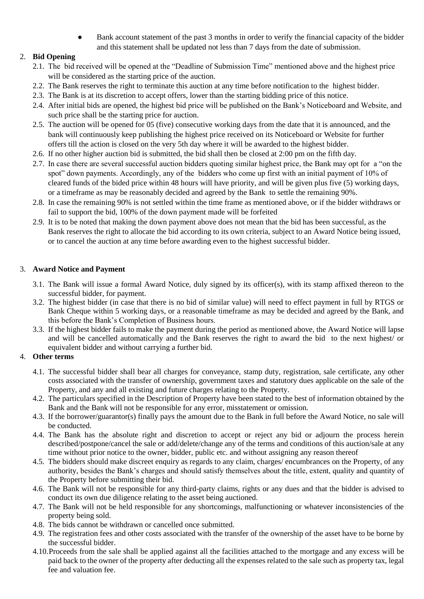Bank account statement of the past 3 months in order to verify the financial capacity of the bidder and this statement shall be updated not less than 7 days from the date of submission.

# 2. **Bid Opening**

- 2.1. The bid received will be opened at the "Deadline of Submission Time" mentioned above and the highest price will be considered as the starting price of the auction.
- 2.2. The Bank reserves the right to terminate this auction at any time before notification to the highest bidder.
- 2.3. The Bank is at its discretion to accept offers, lower than the starting bidding price of this notice.
- 2.4. After initial bids are opened, the highest bid price will be published on the Bank's Noticeboard and Website, and such price shall be the starting price for auction.
- 2.5. The auction will be opened for 05 (five) consecutive working days from the date that it is announced, and the bank will continuously keep publishing the highest price received on its Noticeboard or Website for further offers till the action is closed on the very 5th day where it will be awarded to the highest bidder.
- 2.6. If no other higher auction bid is submitted, the bid shall then be closed at 2:00 pm on the fifth day.
- 2.7. In case there are several successful auction bidders quoting similar highest price, the Bank may opt for a "on the spot" down payments. Accordingly, any of the bidders who come up first with an initial payment of 10% of cleared funds of the bided price within 48 hours will have priority, and will be given plus five (5) working days, or a timeframe as may be reasonably decided and agreed by the Bank to settle the remaining 90%.
- 2.8. In case the remaining 90% is not settled within the time frame as mentioned above, or if the bidder withdraws or fail to support the bid, 100% of the down payment made will be forfeited
- 2.9. It is to be noted that making the down payment above does not mean that the bid has been successful, as the Bank reserves the right to allocate the bid according to its own criteria, subject to an Award Notice being issued, or to cancel the auction at any time before awarding even to the highest successful bidder.

# 3. **Award Notice and Payment**

- 3.1. The Bank will issue a formal Award Notice, duly signed by its officer(s), with its stamp affixed thereon to the successful bidder, for payment.
- 3.2. The highest bidder (in case that there is no bid of similar value) will need to effect payment in full by RTGS or Bank Cheque within 5 working days, or a reasonable timeframe as may be decided and agreed by the Bank, and this before the Bank's Completion of Business hours.
- 3.3. If the highest bidder fails to make the payment during the period as mentioned above, the Award Notice will lapse and will be cancelled automatically and the Bank reserves the right to award the bid to the next highest/ or equivalent bidder and without carrying a further bid.

# 4. **Other terms**

- 4.1. The successful bidder shall bear all charges for conveyance, stamp duty, registration, sale certificate, any other costs associated with the transfer of ownership, government taxes and statutory dues applicable on the sale of the Property, and any and all existing and future charges relating to the Property.
- 4.2. The particulars specified in the Description of Property have been stated to the best of information obtained by the Bank and the Bank will not be responsible for any error, misstatement or omission.
- 4.3. If the borrower/guarantor(s) finally pays the amount due to the Bank in full before the Award Notice, no sale will be conducted.
- 4.4. The Bank has the absolute right and discretion to accept or reject any bid or adjourn the process herein described/postpone/cancel the sale or add/delete/change any of the terms and conditions of this auction/sale at any time without prior notice to the owner, bidder, public etc. and without assigning any reason thereof
- 4.5. The bidders should make discreet enquiry as regards to any claim, charges/ encumbrances on the Property, of any authority, besides the Bank's charges and should satisfy themselves about the title, extent, quality and quantity of the Property before submitting their bid.
- 4.6. The Bank will not be responsible for any third-party claims, rights or any dues and that the bidder is advised to conduct its own due diligence relating to the asset being auctioned.
- 4.7. The Bank will not be held responsible for any shortcomings, malfunctioning or whatever inconsistencies of the property being sold.
- 4.8. The bids cannot be withdrawn or cancelled once submitted.
- 4.9. The registration fees and other costs associated with the transfer of the ownership of the asset have to be borne by the successful bidder.
- 4.10.Proceeds from the sale shall be applied against all the facilities attached to the mortgage and any excess will be paid back to the owner of the property after deducting all the expenses related to the sale such as property tax, legal fee and valuation fee.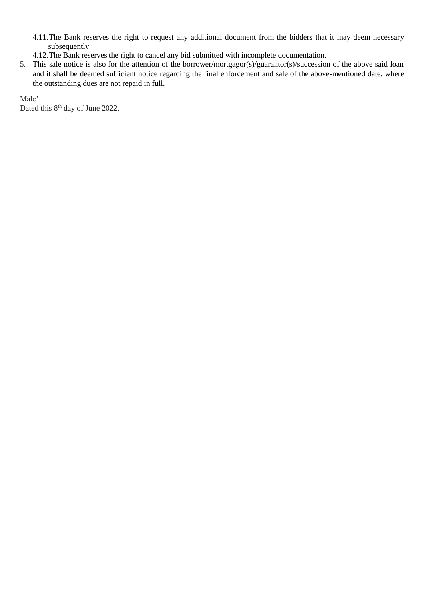- 4.11.The Bank reserves the right to request any additional document from the bidders that it may deem necessary subsequently
- 4.12.The Bank reserves the right to cancel any bid submitted with incomplete documentation.
- 5. This sale notice is also for the attention of the borrower/mortgagor(s)/guarantor(s)/succession of the above said loan and it shall be deemed sufficient notice regarding the final enforcement and sale of the above-mentioned date, where the outstanding dues are not repaid in full.

Male'

Dated this 8<sup>th</sup> day of June 2022.